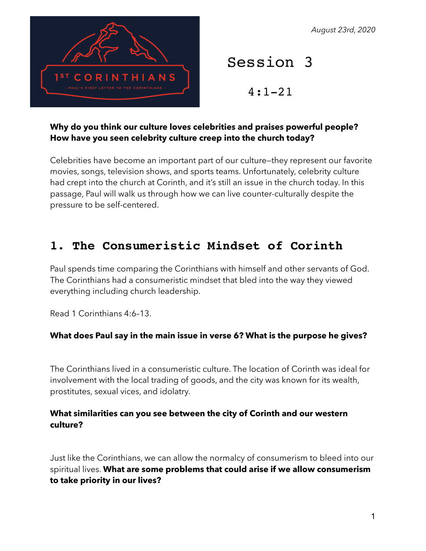*August 23rd, 2020*



# Session 3

4:1-21

#### **Why do you think our culture loves celebrities and praises powerful people? How have you seen celebrity culture creep into the church today?**

Celebrities have become an important part of our culture—they represent our favorite movies, songs, television shows, and sports teams. Unfortunately, celebrity culture had crept into the church at Corinth, and it's still an issue in the church today. In this passage, Paul will walk us through how we can live counter-culturally despite the pressure to be self-centered.

### **1. The Consumeristic Mindset of Corinth**

Paul spends time comparing the Corinthians with himself and other servants of God. The Corinthians had a consumeristic mindset that bled into the way they viewed everything including church leadership.

Read 1 Corinthians 4:6–13.

#### **What does Paul say in the main issue in verse 6? What is the purpose he gives?**

The Corinthians lived in a consumeristic culture. The location of Corinth was ideal for involvement with the local trading of goods, and the city was known for its wealth, prostitutes, sexual vices, and idolatry.

#### **What similarities can you see between the city of Corinth and our western culture?**

Just like the Corinthians, we can allow the normalcy of consumerism to bleed into our spiritual lives. **What are some problems that could arise if we allow consumerism to take priority in our lives?**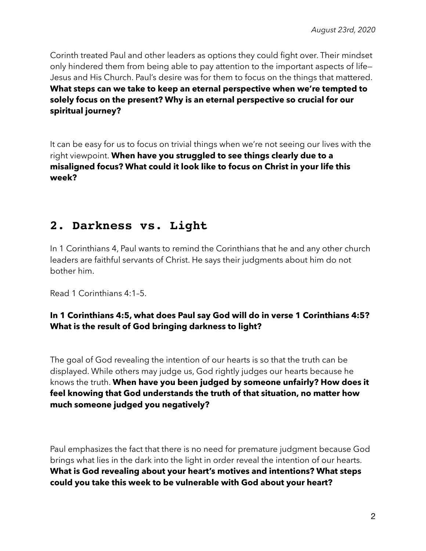Corinth treated Paul and other leaders as options they could fight over. Their mindset only hindered them from being able to pay attention to the important aspects of life— Jesus and His Church. Paul's desire was for them to focus on the things that mattered. **What steps can we take to keep an eternal perspective when we're tempted to solely focus on the present? Why is an eternal perspective so crucial for our spiritual journey?**

It can be easy for us to focus on trivial things when we're not seeing our lives with the right viewpoint. **When have you struggled to see things clearly due to a misaligned focus? What could it look like to focus on Christ in your life this week?**

### **2. Darkness vs. Light**

In 1 Corinthians 4, Paul wants to remind the Corinthians that he and any other church leaders are faithful servants of Christ. He says their judgments about him do not bother him.

Read 1 Corinthians 4:1–5.

#### **In 1 Corinthians 4:5, what does Paul say God will do in verse 1 Corinthians 4:5? What is the result of God bringing darkness to light?**

The goal of God revealing the intention of our hearts is so that the truth can be displayed. While others may judge us, God rightly judges our hearts because he knows the truth. **When have you been judged by someone unfairly? How does it feel knowing that God understands the truth of that situation, no matter how much someone judged you negatively?** 

Paul emphasizes the fact that there is no need for premature judgment because God brings what lies in the dark into the light in order reveal the intention of our hearts. **What is God revealing about your heart's motives and intentions? What steps could you take this week to be vulnerable with God about your heart?**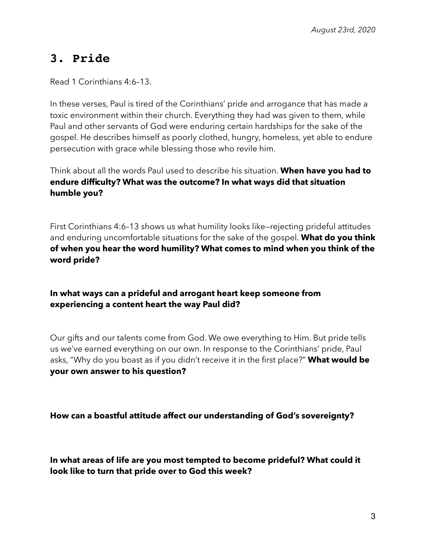## **3. Pride**

Read 1 Corinthians 4:6–13.

In these verses, Paul is tired of the Corinthians' pride and arrogance that has made a toxic environment within their church. Everything they had was given to them, while Paul and other servants of God were enduring certain hardships for the sake of the gospel. He describes himself as poorly clothed, hungry, homeless, yet able to endure persecution with grace while blessing those who revile him.

Think about all the words Paul used to describe his situation. **When have you had to endure difficulty? What was the outcome? In what ways did that situation humble you?**

First Corinthians 4:6–13 shows us what humility looks like—rejecting prideful attitudes and enduring uncomfortable situations for the sake of the gospel. **What do you think of when you hear the word humility? What comes to mind when you think of the word pride?**

**In what ways can a prideful and arrogant heart keep someone from experiencing a content heart the way Paul did?**

Our gifts and our talents come from God. We owe everything to Him. But pride tells us we've earned everything on our own. In response to the Corinthians' pride, Paul asks, "Why do you boast as if you didn't receive it in the first place?" **What would be your own answer to his question?**

**How can a boastful attitude affect our understanding of God's sovereignty?**

**In what areas of life are you most tempted to become prideful? What could it look like to turn that pride over to God this week?**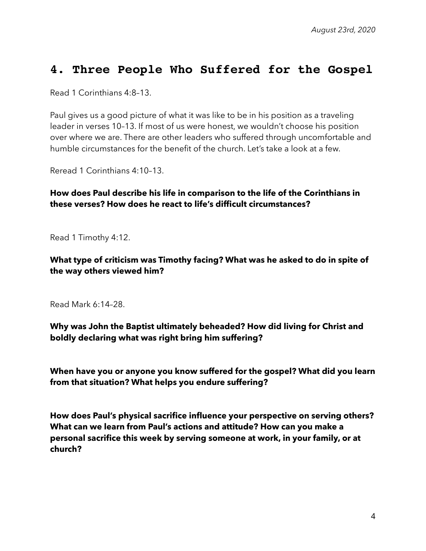### **4. Three People Who Suffered for the Gospel**

Read 1 Corinthians 4:8–13.

Paul gives us a good picture of what it was like to be in his position as a traveling leader in verses 10–13. If most of us were honest, we wouldn't choose his position over where we are. There are other leaders who suffered through uncomfortable and humble circumstances for the benefit of the church. Let's take a look at a few.

Reread 1 Corinthians 4:10–13.

**How does Paul describe his life in comparison to the life of the Corinthians in these verses? How does he react to life's difficult circumstances?** 

Read 1 Timothy 4:12.

**What type of criticism was Timothy facing? What was he asked to do in spite of the way others viewed him?** 

Read Mark 6:14–28.

**Why was John the Baptist ultimately beheaded? How did living for Christ and boldly declaring what was right bring him suffering?** 

**When have you or anyone you know suffered for the gospel? What did you learn from that situation? What helps you endure suffering?** 

**How does Paul's physical sacrifice influence your perspective on serving others? What can we learn from Paul's actions and attitude? How can you make a personal sacrifice this week by serving someone at work, in your family, or at church?**